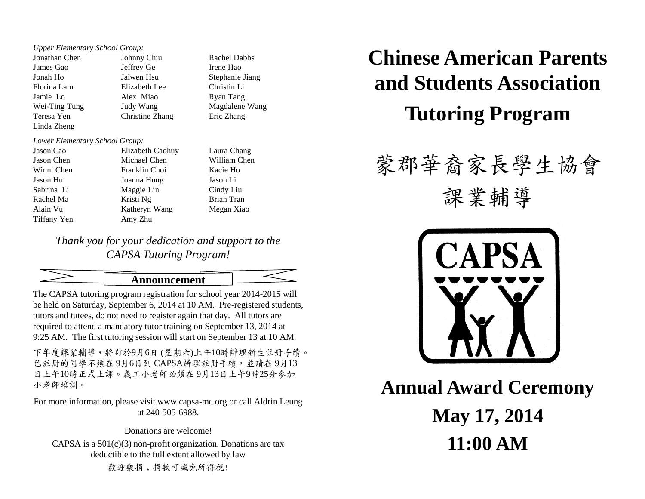### *Upper Elementary School Group:*

| Jonathan Chen | Johnny Chiu    |
|---------------|----------------|
| James Gao     | Jeffrey Ge     |
| Jonah Ho      | Jaiwen Hsu     |
| Florina Lam   | Elizabeth Lee  |
| Jamie Lo      | Alex Miao      |
| Wei-Ting Tung | Judy Wang      |
| Teresa Yen    | Christine Zhan |
| Linda Zheng   |                |
|               |                |

### *Lower Elementary School Group:*

| Jason Cao   | Elizabeth  |
|-------------|------------|
| Jason Chen  | Michael C  |
| Winni Chen  | Franklin C |
| Jason Hu    | Joanna Hu  |
| Sabrina Li  | Maggie Li  |
| Rachel Ma   | Kristi Ng  |
| Alain Vu    | Katheryn   |
| Tiffany Yen | Amy Zhu    |

Rachel Dabbs Irene Hao Stephanie Jiang Christin Li Ryan Tang Magdalene Wang ng Eric Zhang

Caohuy Laura Chang Chen William Chen Choi Kacie Ho Jason Hu Joanna Hung Jason Li in Cindy Liu Brian Tran Wang Megan Xiao

### *Thank you for your dedication and support to the CAPSA Tutoring Program!*

## **Announcement**

The CAPSA tutoring program registration for school year 2014-2015 will be held on Saturday, September 6, 2014 at 10 AM. Pre-registered students, tutors and tutees, do not need to register again that day. All tutors are required to attend a mandatory tutor training on September 13, 2014 at 9:25 AM. The first tutoring session will start on September 13 at 10 AM.

下年度課業輔導,將訂於9月6日 (星期六)上午10時辦理新生註冊手續。 已註冊的同學不須在 9月6日到 CAPSA辦理註冊手續,並請在 9月13 日上午10時正式上課。義工小老師必須在 9月13日上午9時25分參加 小老師培訓。

For more information, please visit www.capsa-mc.org or call Aldrin Leung at 240-505-6988.

Donations are welcome! CAPSA is a  $501(c)(3)$  non-profit organization. Donations are tax deductible to the full extent allowed by law

歡迎樂捐﹐捐款可減免所得稅!

# **Chinese American Parents and Students Association Tutoring Program**

## 蒙郡華裔家長學生協會

課業輔導



**Annual Award Ceremony May 17, 2014 11:00 AM**